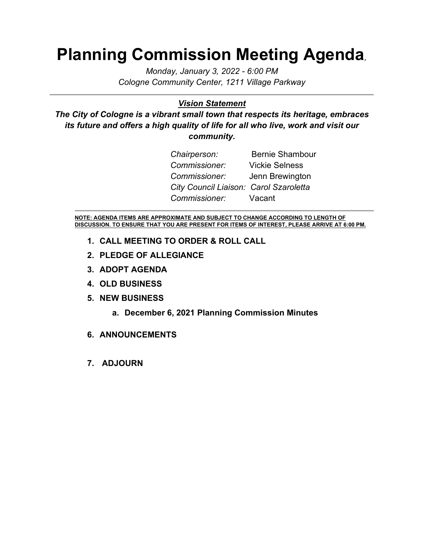# **Planning Commission Meeting Agenda***,*

*Monday, January 3, 2022 - 6:00 PM Cologne Community Center, 1211 Village Parkway*

#### *Vision Statement*

*The City of Cologne is a vibrant small town that respects its heritage, embraces its future and offers a high quality of life for all who live, work and visit our community.*

| Chairperson:                           | <b>Bernie Shambour</b> |
|----------------------------------------|------------------------|
| Commissioner:                          | <b>Vickie Selness</b>  |
| Commissioner: Jenn Brewington          |                        |
| City Council Liaison: Carol Szaroletta |                        |
| Commissioner: Vacant                   |                        |

**NOTE: AGENDA ITEMS ARE APPROXIMATE AND SUBJECT TO CHANGE ACCORDING TO LENGTH OF DISCUSSION. TO ENSURE THAT YOU ARE PRESENT FOR ITEMS OF INTEREST, PLEASE ARRIVE AT 6:00 PM.**

- **1. CALL MEETING TO ORDER & ROLL CALL**
- **2. PLEDGE OF ALLEGIANCE**
- **3. ADOPT AGENDA**
- **4. OLD BUSINESS**
- **5. NEW BUSINESS**
	- **a. December 6, 2021 Planning Commission Minutes**
- **6. ANNOUNCEMENTS**
- **7. ADJOURN**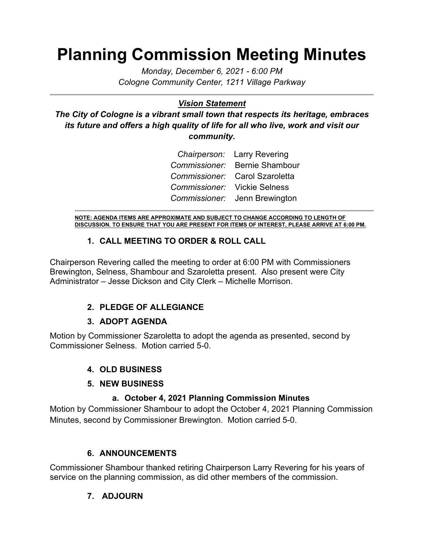# **Planning Commission Meeting Minutes**

*Monday, December 6, 2021 - 6:00 PM Cologne Community Center, 1211 Village Parkway*

### *Vision Statement*

*The City of Cologne is a vibrant small town that respects its heritage, embraces its future and offers a high quality of life for all who live, work and visit our community.*

|                              | Chairperson: Larry Revering    |
|------------------------------|--------------------------------|
|                              | Commissioner: Bernie Shambour  |
|                              | Commissioner: Carol Szaroletta |
| Commissioner: Vickie Selness |                                |
|                              | Commissioner: Jenn Brewington  |

**NOTE: AGENDA ITEMS ARE APPROXIMATE AND SUBJECT TO CHANGE ACCORDING TO LENGTH OF DISCUSSION. TO ENSURE THAT YOU ARE PRESENT FOR ITEMS OF INTEREST, PLEASE ARRIVE AT 6:00 PM.**

#### **1. CALL MEETING TO ORDER & ROLL CALL**

Chairperson Revering called the meeting to order at 6:00 PM with Commissioners Brewington, Selness, Shambour and Szaroletta present. Also present were City Administrator – Jesse Dickson and City Clerk – Michelle Morrison.

### **2. PLEDGE OF ALLEGIANCE**

#### **3. ADOPT AGENDA**

Motion by Commissioner Szaroletta to adopt the agenda as presented, second by Commissioner Selness. Motion carried 5-0.

#### **4. OLD BUSINESS**

#### **5. NEW BUSINESS**

#### **a. October 4, 2021 Planning Commission Minutes**

Motion by Commissioner Shambour to adopt the October 4, 2021 Planning Commission Minutes, second by Commissioner Brewington. Motion carried 5-0.

#### **6. ANNOUNCEMENTS**

Commissioner Shambour thanked retiring Chairperson Larry Revering for his years of service on the planning commission, as did other members of the commission.

#### **7. ADJOURN**